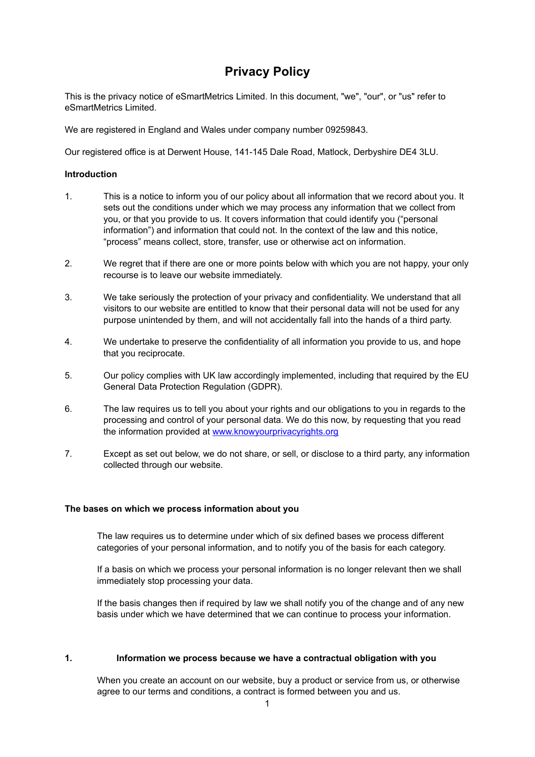# **Privacy Policy**

This is the privacy notice of eSmartMetrics Limited. In this document, "we", "our", or "us" refer to eSmartMetrics Limited.

We are registered in England and Wales under company number 09259843.

Our registered office is at Derwent House, 141-145 Dale Road, Matlock, Derbyshire DE4 3LU.

## **Introduction**

- 1. This is a notice to inform you of our policy about all information that we record about you. It sets out the conditions under which we may process any information that we collect from you, or that you provide to us. It covers information that could identify you ("personal information") and information that could not. In the context of the law and this notice, "process" means collect, store, transfer, use or otherwise act on information.
- 2. We regret that if there are one or more points below with which you are not happy, your only recourse is to leave our website immediately.
- 3. We take seriously the protection of your privacy and confidentiality. We understand that all visitors to our website are entitled to know that their personal data will not be used for any purpose unintended by them, and will not accidentally fall into the hands of a third party.
- 4. We undertake to preserve the confidentiality of all information you provide to us, and hope that you reciprocate.
- 5. Our policy complies with UK law accordingly implemented, including that required by the EU General Data Protection Regulation (GDPR).
- 6. The law requires us to tell you about your rights and our obligations to you in regards to the processing and control of your personal data. We do this now, by requesting that you read the information provided at [www.knowyourprivacyrights.org](http://www.knowyourprivacyrights.org)
- 7. Except as set out below, we do not share, or sell, or disclose to a third party, any information collected through our website.

#### **The bases on which we process information about you**

The law requires us to determine under which of six defined bases we process different categories of your personal information, and to notify you of the basis for each category.

If a basis on which we process your personal information is no longer relevant then we shall immediately stop processing your data.

If the basis changes then if required by law we shall notify you of the change and of any new basis under which we have determined that we can continue to process your information.

#### **1. Information we process because we have a contractual obligation with you**

When you create an account on our website, buy a product or service from us, or otherwise agree to our terms and conditions, a contract is formed between you and us.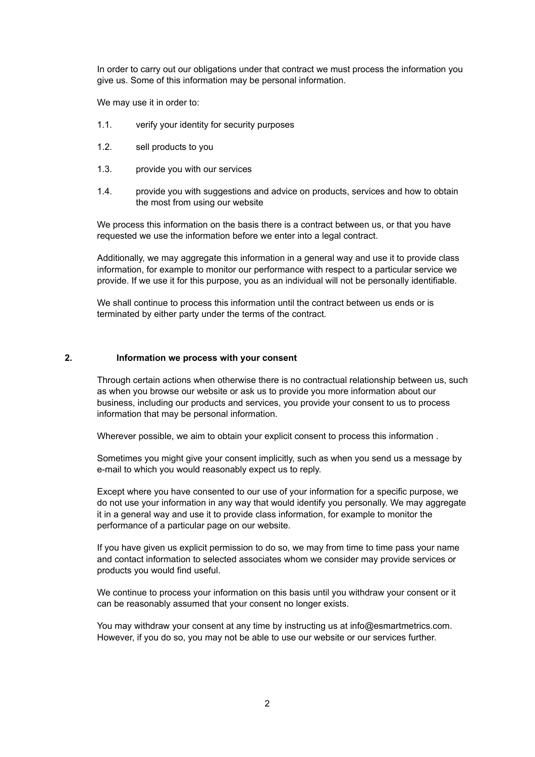In order to carry out our obligations under that contract we must process the information you give us. Some of this information may be personal information.

We may use it in order to:

- 1.1. verify your identity for security purposes
- 1.2. sell products to you
- 1.3. provide you with our services
- 1.4. provide you with suggestions and advice on products, services and how to obtain the most from using our website

We process this information on the basis there is a contract between us, or that you have requested we use the information before we enter into a legal contract.

Additionally, we may aggregate this information in a general way and use it to provide class information, for example to monitor our performance with respect to a particular service we provide. If we use it for this purpose, you as an individual will not be personally identifiable.

We shall continue to process this information until the contract between us ends or is terminated by either party under the terms of the contract.

## **2. Information we process with your consent**

Through certain actions when otherwise there is no contractual relationship between us, such as when you browse our website or ask us to provide you more information about our business, including our products and services, you provide your consent to us to process information that may be personal information.

Wherever possible, we aim to obtain your explicit consent to process this information .

Sometimes you might give your consent implicitly, such as when you send us a message by e-mail to which you would reasonably expect us to reply.

Except where you have consented to our use of your information for a specific purpose, we do not use your information in any way that would identify you personally. We may aggregate it in a general way and use it to provide class information, for example to monitor the performance of a particular page on our website.

If you have given us explicit permission to do so, we may from time to time pass your name and contact information to selected associates whom we consider may provide services or products you would find useful.

We continue to process your information on this basis until you withdraw your consent or it can be reasonably assumed that your consent no longer exists.

You may withdraw your consent at any time by instructing us at info@esmartmetrics.com. However, if you do so, you may not be able to use our website or our services further.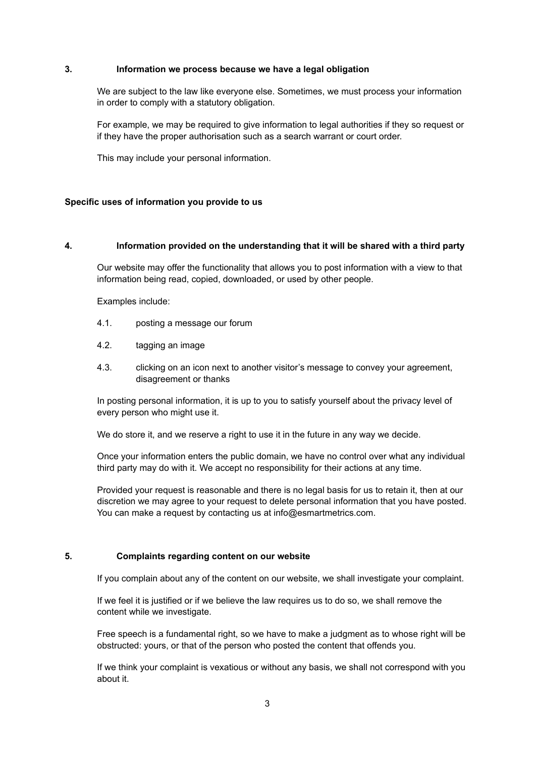## **3. Information we process because we have a legal obligation**

We are subject to the law like everyone else. Sometimes, we must process your information in order to comply with a statutory obligation.

For example, we may be required to give information to legal authorities if they so request or if they have the proper authorisation such as a search warrant or court order.

This may include your personal information.

## **Specific uses of information you provide to us**

## **4. Information provided on the understanding that it will be shared with a third party**

Our website may offer the functionality that allows you to post information with a view to that information being read, copied, downloaded, or used by other people.

Examples include:

- 4.1. posting a message our forum
- 4.2. tagging an image
- 4.3. clicking on an icon next to another visitor's message to convey your agreement, disagreement or thanks

In posting personal information, it is up to you to satisfy yourself about the privacy level of every person who might use it.

We do store it, and we reserve a right to use it in the future in any way we decide.

Once your information enters the public domain, we have no control over what any individual third party may do with it. We accept no responsibility for their actions at any time.

Provided your request is reasonable and there is no legal basis for us to retain it, then at our discretion we may agree to your request to delete personal information that you have posted. You can make a request by contacting us at info@esmartmetrics.com.

## **5. Complaints regarding content on our website**

If you complain about any of the content on our website, we shall investigate your complaint.

If we feel it is justified or if we believe the law requires us to do so, we shall remove the content while we investigate.

Free speech is a fundamental right, so we have to make a judgment as to whose right will be obstructed: yours, or that of the person who posted the content that offends you.

If we think your complaint is vexatious or without any basis, we shall not correspond with you about it.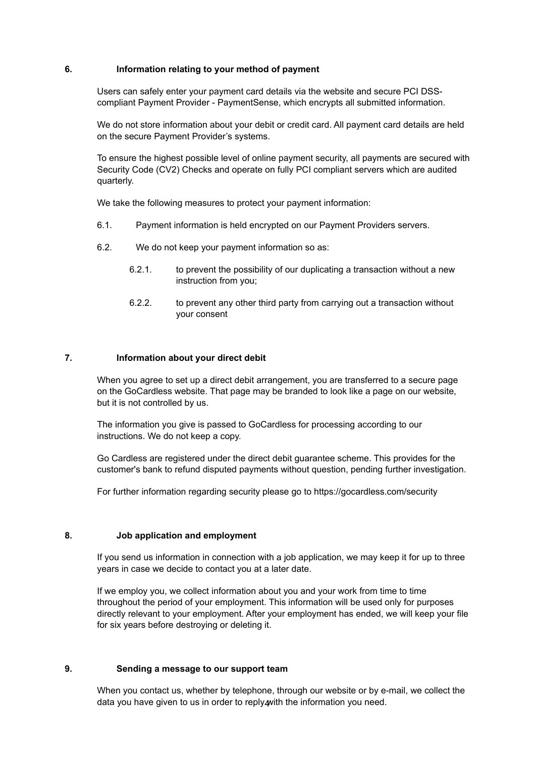## **6. Information relating to your method of payment**

Users can safely enter your payment card details via the website and secure PCI DSScompliant Payment Provider - PaymentSense, which encrypts all submitted information.

We do not store information about your debit or credit card. All payment card details are held on the secure Payment Provider's systems.

To ensure the highest possible level of online payment security, all payments are secured with Security Code (CV2) Checks and operate on fully PCI compliant servers which are audited quarterly.

We take the following measures to protect your payment information:

- 6.1. Payment information is held encrypted on our Payment Providers servers.
- 6.2. We do not keep your payment information so as:
	- 6.2.1. to prevent the possibility of our duplicating a transaction without a new instruction from you;
	- 6.2.2. to prevent any other third party from carrying out a transaction without your consent

## **7. Information about your direct debit**

When you agree to set up a direct debit arrangement, you are transferred to a secure page on the GoCardless website. That page may be branded to look like a page on our website, but it is not controlled by us.

The information you give is passed to GoCardless for processing according to our instructions. We do not keep a copy.

Go Cardless are registered under the direct debit guarantee scheme. This provides for the customer's bank to refund disputed payments without question, pending further investigation.

For further information regarding security please go to https://gocardless.com/security

#### **8. Job application and employment**

If you send us information in connection with a job application, we may keep it for up to three years in case we decide to contact you at a later date.

If we employ you, we collect information about you and your work from time to time throughout the period of your employment. This information will be used only for purposes directly relevant to your employment. After your employment has ended, we will keep your file for six years before destroying or deleting it.

## **9. Sending a message to our support team**

data you have given to us in order to reply<sub>4</sub>with the information you need. When you contact us, whether by telephone, through our website or by e-mail, we collect the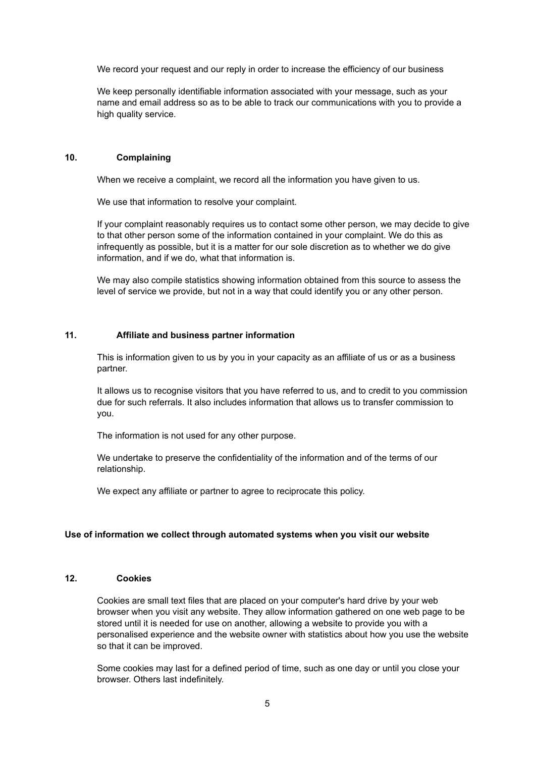We record your request and our reply in order to increase the efficiency of our business

We keep personally identifiable information associated with your message, such as your name and email address so as to be able to track our communications with you to provide a high quality service.

## **10. Complaining**

When we receive a complaint, we record all the information you have given to us.

We use that information to resolve your complaint.

If your complaint reasonably requires us to contact some other person, we may decide to give to that other person some of the information contained in your complaint. We do this as infrequently as possible, but it is a matter for our sole discretion as to whether we do give information, and if we do, what that information is.

We may also compile statistics showing information obtained from this source to assess the level of service we provide, but not in a way that could identify you or any other person.

## **11. Affiliate and business partner information**

This is information given to us by you in your capacity as an affiliate of us or as a business partner.

It allows us to recognise visitors that you have referred to us, and to credit to you commission due for such referrals. It also includes information that allows us to transfer commission to you.

The information is not used for any other purpose.

We undertake to preserve the confidentiality of the information and of the terms of our relationship.

We expect any affiliate or partner to agree to reciprocate this policy.

#### **Use of information we collect through automated systems when you visit our website**

## **12. Cookies**

Cookies are small text files that are placed on your computer's hard drive by your web browser when you visit any website. They allow information gathered on one web page to be stored until it is needed for use on another, allowing a website to provide you with a personalised experience and the website owner with statistics about how you use the website so that it can be improved.

Some cookies may last for a defined period of time, such as one day or until you close your browser. Others last indefinitely.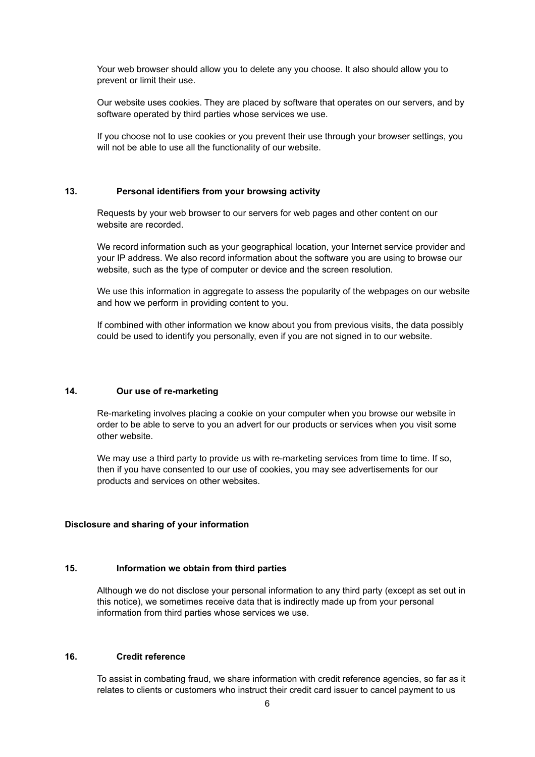Your web browser should allow you to delete any you choose. It also should allow you to prevent or limit their use.

Our website uses cookies. They are placed by software that operates on our servers, and by software operated by third parties whose services we use.

If you choose not to use cookies or you prevent their use through your browser settings, you will not be able to use all the functionality of our website.

#### **13. Personal identifiers from your browsing activity**

Requests by your web browser to our servers for web pages and other content on our website are recorded.

We record information such as your geographical location, your Internet service provider and your IP address. We also record information about the software you are using to browse our website, such as the type of computer or device and the screen resolution.

We use this information in aggregate to assess the popularity of the webpages on our website and how we perform in providing content to you.

If combined with other information we know about you from previous visits, the data possibly could be used to identify you personally, even if you are not signed in to our website.

## **14. Our use of re-marketing**

Re-marketing involves placing a cookie on your computer when you browse our website in order to be able to serve to you an advert for our products or services when you visit some other website.

We may use a third party to provide us with re-marketing services from time to time. If so, then if you have consented to our use of cookies, you may see advertisements for our products and services on other websites.

## **Disclosure and sharing of your information**

## **15. Information we obtain from third parties**

Although we do not disclose your personal information to any third party (except as set out in this notice), we sometimes receive data that is indirectly made up from your personal information from third parties whose services we use.

## **16. Credit reference**

To assist in combating fraud, we share information with credit reference agencies, so far as it relates to clients or customers who instruct their credit card issuer to cancel payment to us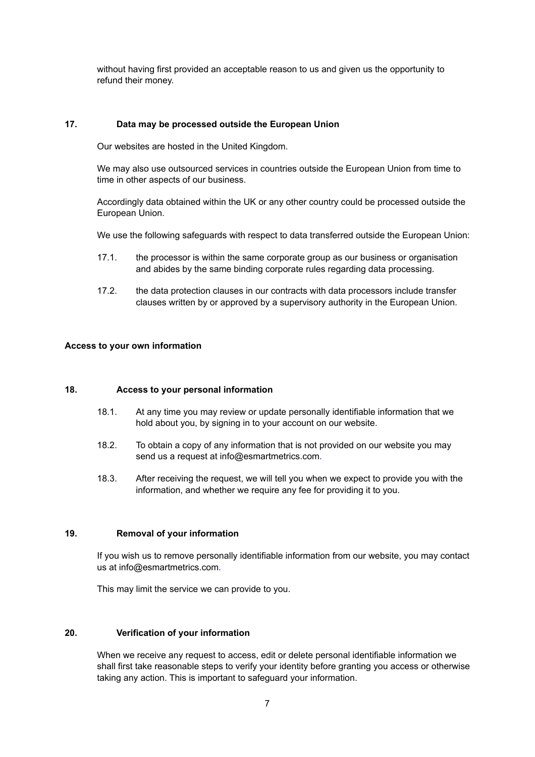without having first provided an acceptable reason to us and given us the opportunity to refund their money.

## **17. Data may be processed outside the European Union**

Our websites are hosted in the United Kingdom.

We may also use outsourced services in countries outside the European Union from time to time in other aspects of our business.

Accordingly data obtained within the UK or any other country could be processed outside the European Union.

We use the following safeguards with respect to data transferred outside the European Union:

- 17.1. the processor is within the same corporate group as our business or organisation and abides by the same binding corporate rules regarding data processing.
- 17.2. the data protection clauses in our contracts with data processors include transfer clauses written by or approved by a supervisory authority in the European Union.

## **Access to your own information**

## **18. Access to your personal information**

- 18.1. At any time you may review or update personally identifiable information that we hold about you, by signing in to your account on our website.
- 18.2. To obtain a copy of any information that is not provided on our website you may send us a request at info@esmartmetrics.com.
- 18.3. After receiving the request, we will tell you when we expect to provide you with the information, and whether we require any fee for providing it to you.

## **19. Removal of your information**

If you wish us to remove personally identifiable information from our website, you may contact us at info@esmartmetrics.com.

This may limit the service we can provide to you.

#### **20. Verification of your information**

When we receive any request to access, edit or delete personal identifiable information we shall first take reasonable steps to verify your identity before granting you access or otherwise taking any action. This is important to safeguard your information.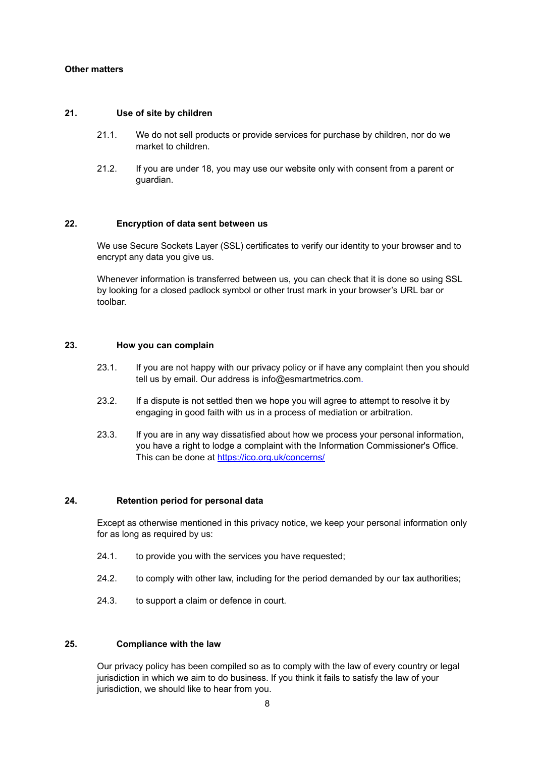## **Other matters**

## **21. Use of site by children**

- 21.1. We do not sell products or provide services for purchase by children, nor do we market to children.
- 21.2. If you are under 18, you may use our website only with consent from a parent or guardian.

## **22. Encryption of data sent between us**

We use Secure Sockets Layer (SSL) certificates to verify our identity to your browser and to encrypt any data you give us.

Whenever information is transferred between us, you can check that it is done so using SSL by looking for a closed padlock symbol or other trust mark in your browser's URL bar or toolbar.

#### **23. How you can complain**

- 23.1. If you are not happy with our privacy policy or if have any complaint then you should tell us by email. Our address is info@esmartmetrics.com.
- 23.2. If a dispute is not settled then we hope you will agree to attempt to resolve it by engaging in good faith with us in a process of mediation or arbitration.
- 23.3. If you are in any way dissatisfied about how we process your personal information, you have a right to lodge a complaint with the Information Commissioner's Office. This can be done at <https://ico.org.uk/concerns/>

#### **24. Retention period for personal data**

Except as otherwise mentioned in this privacy notice, we keep your personal information only for as long as required by us:

- 24.1. to provide you with the services you have requested;
- 24.2. to comply with other law, including for the period demanded by our tax authorities;
- 24.3. to support a claim or defence in court.

## **25. Compliance with the law**

Our privacy policy has been compiled so as to comply with the law of every country or legal jurisdiction in which we aim to do business. If you think it fails to satisfy the law of your jurisdiction, we should like to hear from you.